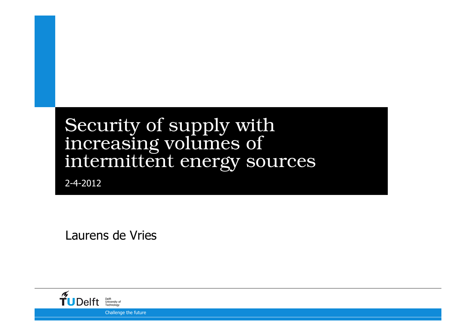# Security of supply with increasing volumes of intermittent energy sources

2-4-2012

Laurens de Vries

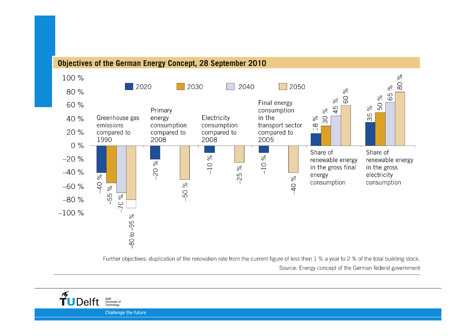#### Objectives of the German Energy Concept, 28 September 2010



Further objectives: duplication of the renovation rate from the current figure of less then 1 % a year to 2 % of the total building stock. Source: Energy concept of the German federal government

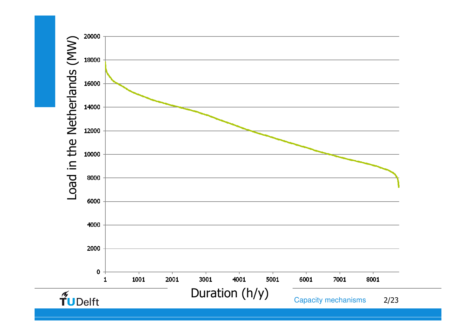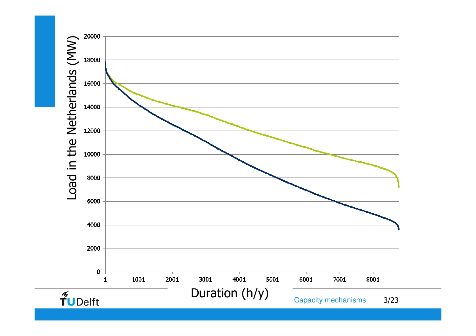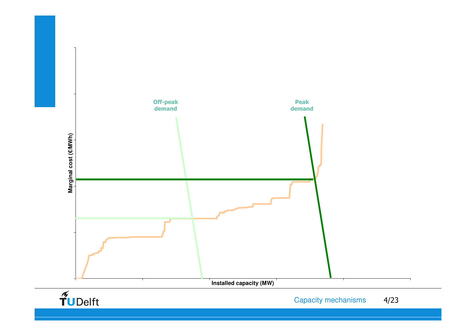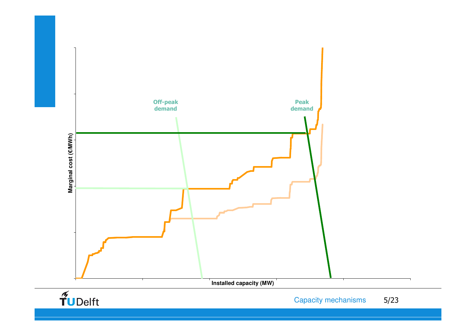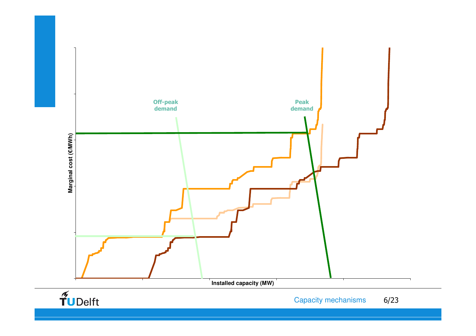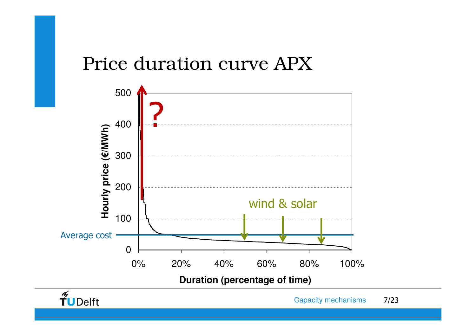#### Price duration curve APX



 $\widetilde{\mathbf{T}}$ UDelft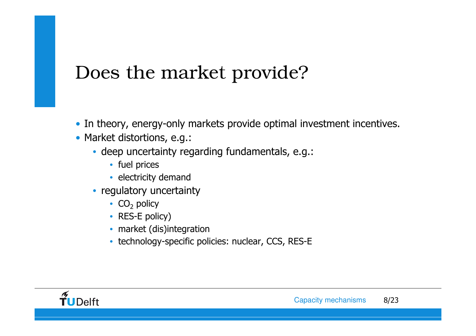### Does the market provide?

- In theory, energy-only markets provide optimal investment incentives.
- Market distortions, e.g.:
	- deep uncertainty regarding fundamentals, e.g.:
		- fuel prices
		- electricity demand
	- regulatory uncertainty
		- $CO<sub>2</sub>$  policy
		- RES-E policy)
		- market (dis)integration
		- technology-specific policies: nuclear, CCS, RES-E

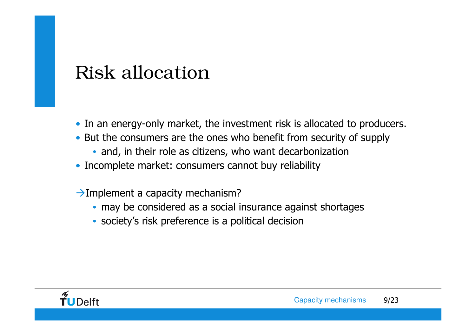#### Risk allocation

- In an energy-only market, the investment risk is allocated to producers.
- But the consumers are the ones who benefit from security of supply
	- and, in their role as citizens, who want decarbonization
- Incomplete market: consumers cannot buy reliability
- $\rightarrow$  Implement a capacity mechanism?
	- may be considered as a social insurance against shortages
	- society's risk preference is a political decision

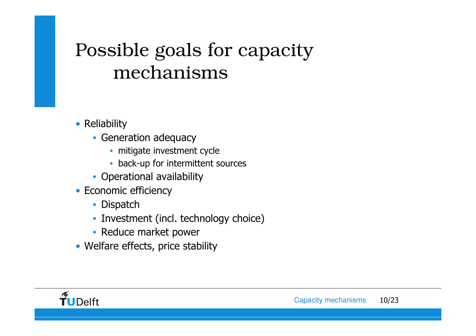# Possible goals for capacity mechanisms

- Reliability
	- Generation adequacy
		- mitigate investment cycle
		- back-up for intermittent sources
	- Operational availability
- Economic efficiency
	- Dispatch
	- Investment (incl. technology choice)
	- Reduce market power
- Welfare effects, price stability

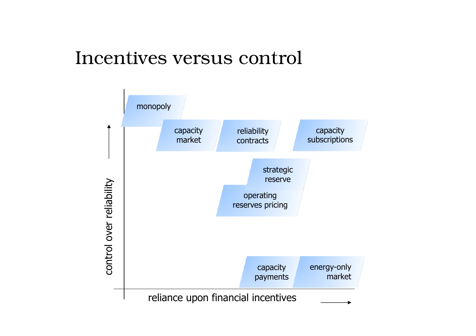#### Incentives versus control

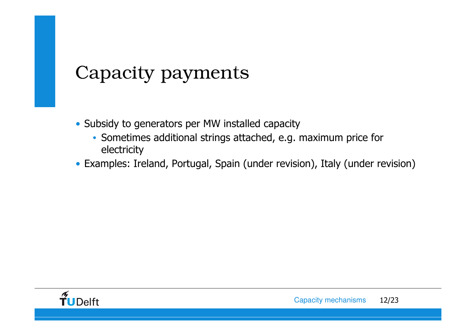# Capacity payments

- Subsidy to generators per MW installed capacity
	- Sometimes additional strings attached, e.g. maximum price for electricity
- Examples: Ireland, Portugal, Spain (under revision), Italy (under revision)

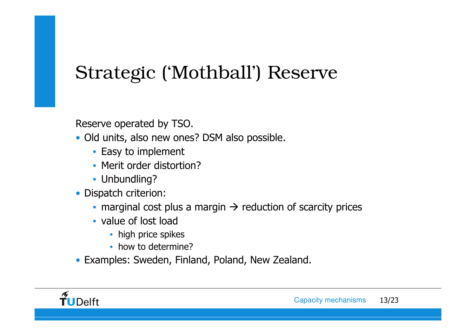# Strategic ('Mothball') Reserve

Reserve operated by TSO.

- Old units, also new ones? DSM also possible.
	- Easy to implement
	- Merit order distortion?
	- Unbundling?
- Dispatch criterion:
	- marginal cost plus a margin  $\rightarrow$  reduction of scarcity prices<br>• value of lest lead
	- value of lost load
		- high price spikes
		- how to determine?
- Examples: Sweden, Finland, Poland, New Zealand.

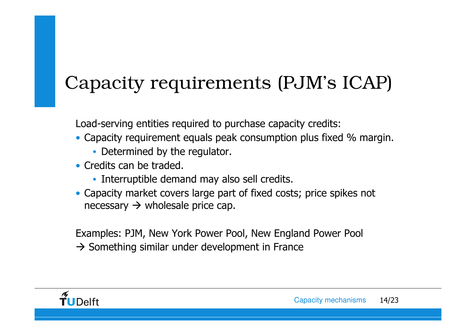# Capacity requirements (PJM's ICAP)

Load-serving entities required to purchase capacity credits:

- Capacity requirement equals peak consumption plus fixed % margin.
	- Determined by the regulator.
- Credits can be traded.
	- Interruptible demand may also sell credits.
- Capacity market covers large part of fixed costs; price spikes not  $n$ ecessary  $\rightarrow$  wholesale price cap.

Examples: PJM, New York Power Pool, New England Power Pool

 $\rightarrow$  Something similar under development in France

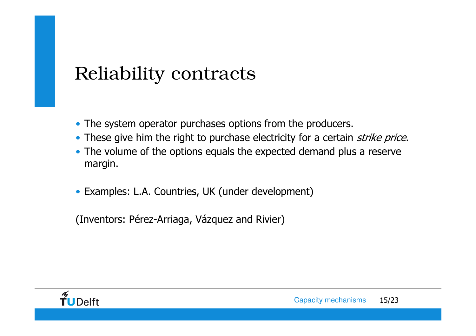#### Reliability contracts

- The system operator purchases options from the producers.
- These give him the right to purchase electricity for a certain *strike price*.
- The volume of the options equals the expected demand plus a reserve margin.
- Examples: L.A. Countries, UK (under development)

(Inventors: Pérez-Arriaga, Vázquez and Rivier)

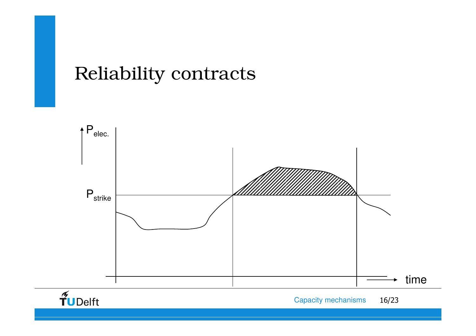#### Reliability contracts

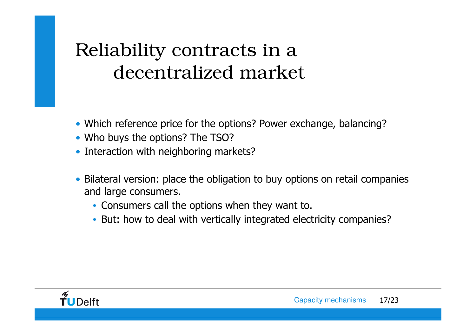# Reliability contracts in a decentralized market

- Which reference price for the options? Power exchange, balancing?
- Who buys the options? The TSO?
- Interaction with neighboring markets?
- Bilateral version: place the obligation to buy options on retail companies<br>and large consumers and large consumers.
	- Consumers call the options when they want to.
	- But: how to deal with vertically integrated electricity companies?

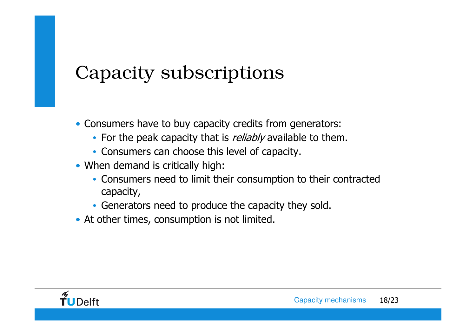## Capacity subscriptions

- Consumers have to buy capacity credits from generators:
	- For the peak capacity that is *reliably* available to them.
	- Consumers can choose this level of capacity.
- When demand is critically high:
	- Consumers need to limit their consumption to their contracted capacity,
	- Generators need to produce the capacity they sold.
- At other times, consumption is not limited.

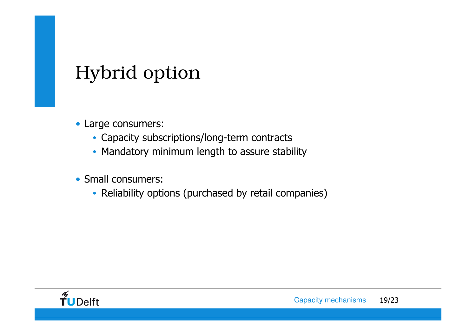### Hybrid option

- Large consumers:
	- Capacity subscriptions/long-term contracts
	- Mandatory minimum length to assure stability
- Small consumers:
	- Reliability options (purchased by retail companies)

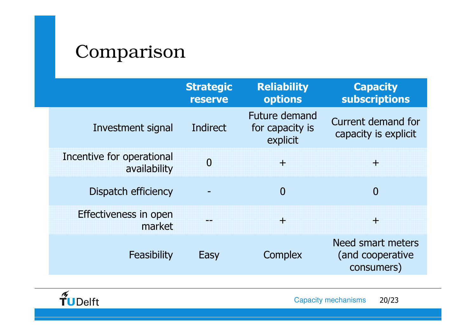#### Comparison

|                                           | <b>Strategic</b><br><b>reserve</b> | <b>Reliability</b><br>options                | <b>Capacity</b><br>subscriptions                    |
|-------------------------------------------|------------------------------------|----------------------------------------------|-----------------------------------------------------|
| Investment signal                         | Indirect                           | Future demand<br>for capacity is<br>explicit | Current demand for<br>capacity is explicit.         |
| Incentive for operational<br>availability | $\overline{0}$                     | $\pm$                                        | Ŧ                                                   |
| Dispatch efficiency                       |                                    | $\overline{0}$                               | $\overline{0}$                                      |
| Effectiveness in open<br>market           |                                    | $\pm$                                        | Ŧ                                                   |
| Feasibility                               | Easy                               | Complex                                      | Need smart meters<br>(and cooperative<br>consumers) |

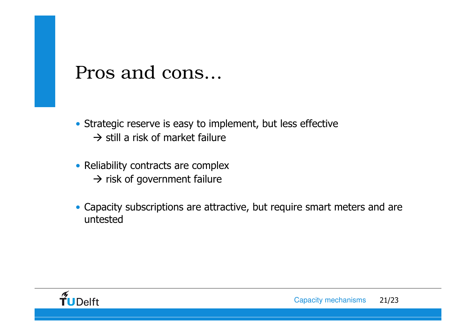#### Pros and cons…

- Strategic reserve is easy to implement, but less effective $\rightarrow$  still a risk of market failure
- Reliability contracts are complex  $\rightarrow$  risk of government failure
- Capacity subscriptions are attractive, but require smart meters and are untested

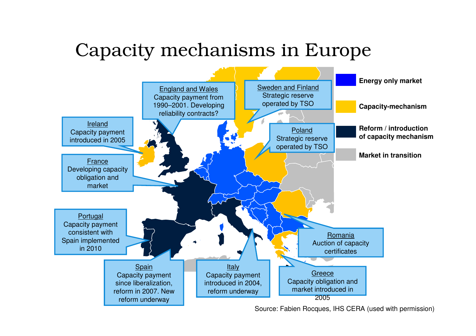#### Capacity mechanisms in Europe



Source: Fabien Rocques, IHS CERA (used with permission)